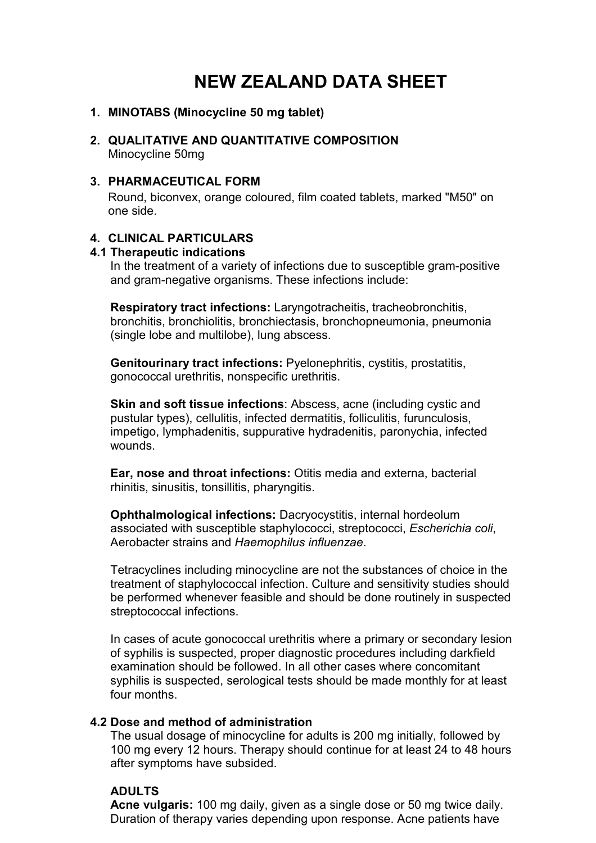# **NEW ZEALAND DATA SHEET**

## **1. MINOTABS (Minocycline 50 mg tablet)**

**2. QUALITATIVE AND QUANTITATIVE COMPOSITION** Minocycline 50mg

## **3. PHARMACEUTICAL FORM**

Round, biconvex, orange coloured, film coated tablets, marked "M50" on one side.

### **4. CLINICAL PARTICULARS**

#### **4.1 Therapeutic indications**

In the treatment of a variety of infections due to susceptible gram-positive and gram-negative organisms. These infections include:

**Respiratory tract infections:** Laryngotracheitis, tracheobronchitis, bronchitis, bronchiolitis, bronchiectasis, bronchopneumonia, pneumonia (single lobe and multilobe), lung abscess.

**Genitourinary tract infections:** Pyelonephritis, cystitis, prostatitis, gonococcal urethritis, nonspecific urethritis.

**Skin and soft tissue infections**: Abscess, acne (including cystic and pustular types), cellulitis, infected dermatitis, folliculitis, furunculosis, impetigo, lymphadenitis, suppurative hydradenitis, paronychia, infected wounds.

**Ear, nose and throat infections:** Otitis media and externa, bacterial rhinitis, sinusitis, tonsillitis, pharyngitis.

**Ophthalmological infections:** Dacryocystitis, internal hordeolum associated with susceptible staphylococci, streptococci, *Escherichia coli*, Aerobacter strains and *Haemophilus influenzae*.

Tetracyclines including minocycline are not the substances of choice in the treatment of staphylococcal infection. Culture and sensitivity studies should be performed whenever feasible and should be done routinely in suspected streptococcal infections.

In cases of acute gonococcal urethritis where a primary or secondary lesion of syphilis is suspected, proper diagnostic procedures including darkfield examination should be followed. In all other cases where concomitant syphilis is suspected, serological tests should be made monthly for at least four months.

#### **4.2 Dose and method of administration**

The usual dosage of minocycline for adults is 200 mg initially, followed by 100 mg every 12 hours. Therapy should continue for at least 24 to 48 hours after symptoms have subsided.

#### **ADULTS**

**Acne vulgaris:** 100 mg daily, given as a single dose or 50 mg twice daily. Duration of therapy varies depending upon response. Acne patients have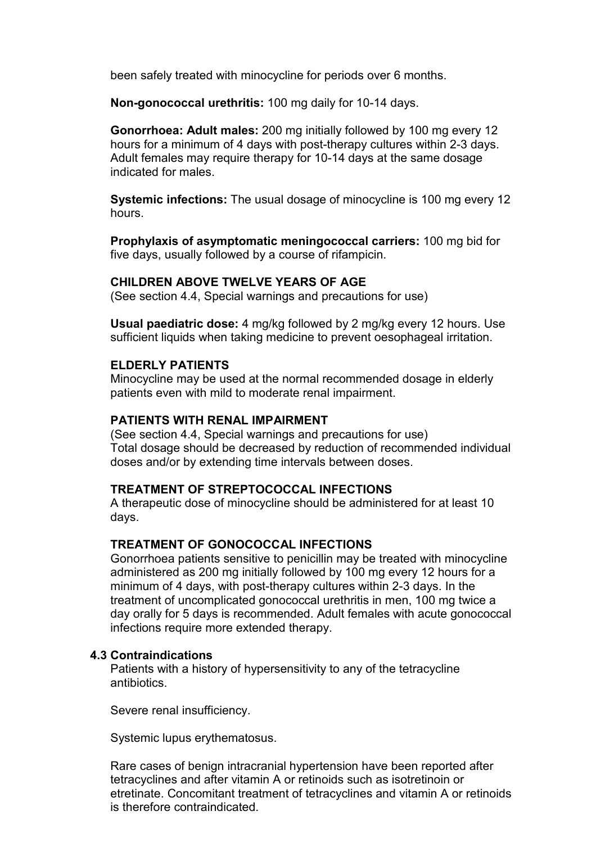been safely treated with minocycline for periods over 6 months.

**Non-gonococcal urethritis:** 100 mg daily for 10-14 days.

**Gonorrhoea: Adult males:** 200 mg initially followed by 100 mg every 12 hours for a minimum of 4 days with post-therapy cultures within 2-3 days. Adult females may require therapy for 10-14 days at the same dosage indicated for males.

**Systemic infections:** The usual dosage of minocycline is 100 mg every 12 hours.

**Prophylaxis of asymptomatic meningococcal carriers:** 100 mg bid for five days, usually followed by a course of rifampicin.

## **CHILDREN ABOVE TWELVE YEARS OF AGE**

(See section 4.4, Special warnings and precautions for use)

**Usual paediatric dose:** 4 mg/kg followed by 2 mg/kg every 12 hours. Use sufficient liquids when taking medicine to prevent oesophageal irritation.

#### **ELDERLY PATIENTS**

Minocycline may be used at the normal recommended dosage in elderly patients even with mild to moderate renal impairment.

#### **PATIENTS WITH RENAL IMPAIRMENT**

(See section 4.4, Special warnings and precautions for use) Total dosage should be decreased by reduction of recommended individual doses and/or by extending time intervals between doses.

# **TREATMENT OF STREPTOCOCCAL INFECTIONS**

A therapeutic dose of minocycline should be administered for at least 10 days.

## **TREATMENT OF GONOCOCCAL INFECTIONS**

Gonorrhoea patients sensitive to penicillin may be treated with minocycline administered as 200 mg initially followed by 100 mg every 12 hours for a minimum of 4 days, with post-therapy cultures within 2-3 days. In the treatment of uncomplicated gonococcal urethritis in men, 100 mg twice a day orally for 5 days is recommended. Adult females with acute gonococcal infections require more extended therapy.

#### **4.3 Contraindications**

Patients with a history of hypersensitivity to any of the tetracycline antibiotics.

Severe renal insufficiency.

Systemic lupus erythematosus.

Rare cases of benign intracranial hypertension have been reported after tetracyclines and after vitamin A or retinoids such as isotretinoin or etretinate. Concomitant treatment of tetracyclines and vitamin A or retinoids is therefore contraindicated.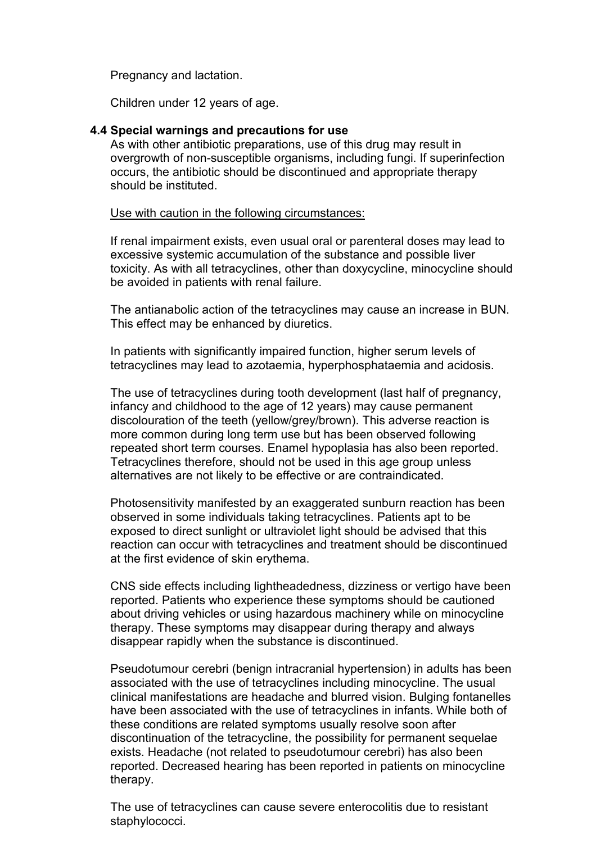Pregnancy and lactation.

Children under 12 years of age.

### **4.4 Special warnings and precautions for use**

As with other antibiotic preparations, use of this drug may result in overgrowth of non-susceptible organisms, including fungi. If superinfection occurs, the antibiotic should be discontinued and appropriate therapy should be instituted.

Use with caution in the following circumstances:

If renal impairment exists, even usual oral or parenteral doses may lead to excessive systemic accumulation of the substance and possible liver toxicity. As with all tetracyclines, other than doxycycline, minocycline should be avoided in patients with renal failure.

The antianabolic action of the tetracyclines may cause an increase in BUN. This effect may be enhanced by diuretics.

In patients with significantly impaired function, higher serum levels of tetracyclines may lead to azotaemia, hyperphosphataemia and acidosis.

The use of tetracyclines during tooth development (last half of pregnancy, infancy and childhood to the age of 12 years) may cause permanent discolouration of the teeth (yellow/grey/brown). This adverse reaction is more common during long term use but has been observed following repeated short term courses. Enamel hypoplasia has also been reported. Tetracyclines therefore, should not be used in this age group unless alternatives are not likely to be effective or are contraindicated.

Photosensitivity manifested by an exaggerated sunburn reaction has been observed in some individuals taking tetracyclines. Patients apt to be exposed to direct sunlight or ultraviolet light should be advised that this reaction can occur with tetracyclines and treatment should be discontinued at the first evidence of skin erythema.

CNS side effects including lightheadedness, dizziness or vertigo have been reported. Patients who experience these symptoms should be cautioned about driving vehicles or using hazardous machinery while on minocycline therapy. These symptoms may disappear during therapy and always disappear rapidly when the substance is discontinued.

Pseudotumour cerebri (benign intracranial hypertension) in adults has been associated with the use of tetracyclines including minocycline. The usual clinical manifestations are headache and blurred vision. Bulging fontanelles have been associated with the use of tetracyclines in infants. While both of these conditions are related symptoms usually resolve soon after discontinuation of the tetracycline, the possibility for permanent sequelae exists. Headache (not related to pseudotumour cerebri) has also been reported. Decreased hearing has been reported in patients on minocycline therapy.

The use of tetracyclines can cause severe enterocolitis due to resistant staphylococci.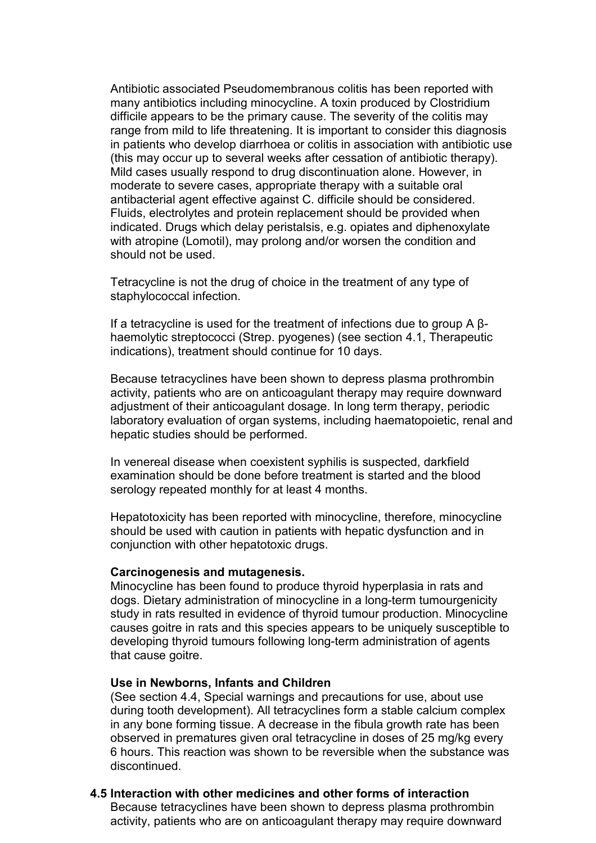Antibiotic associated Pseudomembranous colitis has been reported with many antibiotics including minocycline. A toxin produced by Clostridium difficile appears to be the primary cause. The severity of the colitis may range from mild to life threatening. It is important to consider this diagnosis in patients who develop diarrhoea or colitis in association with antibiotic use (this may occur up to several weeks after cessation of antibiotic therapy). Mild cases usually respond to drug discontinuation alone. However, in moderate to severe cases, appropriate therapy with a suitable oral antibacterial agent effective against C. difficile should be considered. Fluids, electrolytes and protein replacement should be provided when indicated. Drugs which delay peristalsis, e.g. opiates and diphenoxylate with atropine (Lomotil), may prolong and/or worsen the condition and should not be used.

Tetracycline is not the drug of choice in the treatment of any type of staphylococcal infection.

If a tetracycline is used for the treatment of infections due to group A βhaemolytic streptococci (Strep. pyogenes) (see section 4.1, Therapeutic indications), treatment should continue for 10 days.

Because tetracyclines have been shown to depress plasma prothrombin activity, patients who are on anticoagulant therapy may require downward adjustment of their anticoagulant dosage. In long term therapy, periodic laboratory evaluation of organ systems, including haematopoietic, renal and hepatic studies should be performed.

In venereal disease when coexistent syphilis is suspected, darkfield examination should be done before treatment is started and the blood serology repeated monthly for at least 4 months.

Hepatotoxicity has been reported with minocycline, therefore, minocycline should be used with caution in patients with hepatic dysfunction and in conjunction with other hepatotoxic drugs.

#### **Carcinogenesis and mutagenesis.**

Minocycline has been found to produce thyroid hyperplasia in rats and dogs. Dietary administration of minocycline in a long-term tumourgenicity study in rats resulted in evidence of thyroid tumour production. Minocycline causes goitre in rats and this species appears to be uniquely susceptible to developing thyroid tumours following long-term administration of agents that cause goitre.

#### **Use in Newborns, Infants and Children**

(See section 4.4, Special warnings and precautions for use, about use during tooth development). All tetracyclines form a stable calcium complex in any bone forming tissue. A decrease in the fibula growth rate has been observed in prematures given oral tetracycline in doses of 25 mg/kg every 6 hours. This reaction was shown to be reversible when the substance was discontinued.

### **4.5 Interaction with other medicines and other forms of interaction**

Because tetracyclines have been shown to depress plasma prothrombin activity, patients who are on anticoagulant therapy may require downward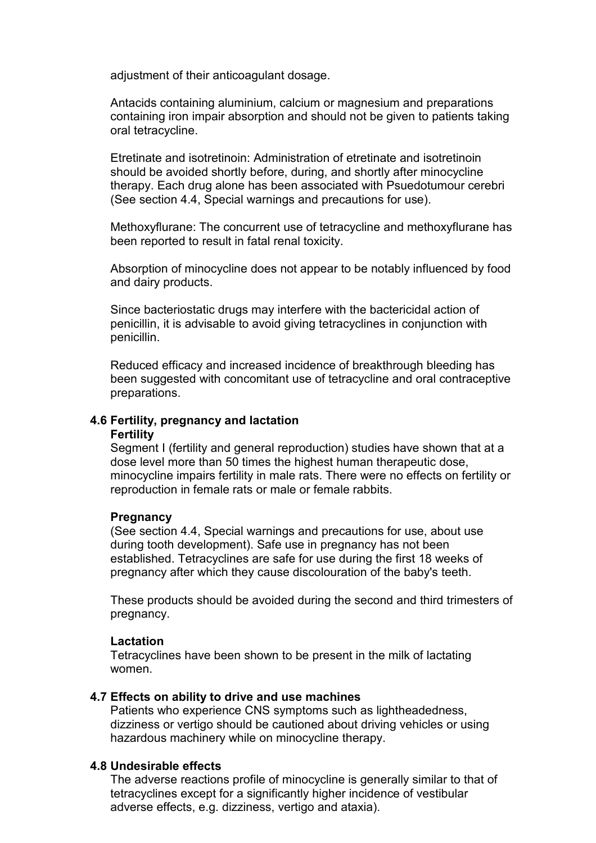adjustment of their anticoagulant dosage.

Antacids containing aluminium, calcium or magnesium and preparations containing iron impair absorption and should not be given to patients taking oral tetracycline.

Etretinate and isotretinoin: Administration of etretinate and isotretinoin should be avoided shortly before, during, and shortly after minocycline therapy. Each drug alone has been associated with Psuedotumour cerebri (See section 4.4, Special warnings and precautions for use).

Methoxyflurane: The concurrent use of tetracycline and methoxyflurane has been reported to result in fatal renal toxicity.

Absorption of minocycline does not appear to be notably influenced by food and dairy products.

Since bacteriostatic drugs may interfere with the bactericidal action of penicillin, it is advisable to avoid giving tetracyclines in conjunction with penicillin.

Reduced efficacy and increased incidence of breakthrough bleeding has been suggested with concomitant use of tetracycline and oral contraceptive preparations.

# **4.6 Fertility, pregnancy and lactation**

#### **Fertility**

Segment I (fertility and general reproduction) studies have shown that at a dose level more than 50 times the highest human therapeutic dose, minocycline impairs fertility in male rats. There were no effects on fertility or reproduction in female rats or male or female rabbits.

#### **Pregnancy**

(See section 4.4, Special warnings and precautions for use, about use during tooth development). Safe use in pregnancy has not been established. Tetracyclines are safe for use during the first 18 weeks of pregnancy after which they cause discolouration of the baby's teeth.

These products should be avoided during the second and third trimesters of pregnancy.

## **Lactation**

Tetracyclines have been shown to be present in the milk of lactating women.

## **4.7 Effects on ability to drive and use machines**

Patients who experience CNS symptoms such as lightheadedness, dizziness or vertigo should be cautioned about driving vehicles or using hazardous machinery while on minocycline therapy.

## **4.8 Undesirable effects**

The adverse reactions profile of minocycline is generally similar to that of tetracyclines except for a significantly higher incidence of vestibular adverse effects, e.g. dizziness, vertigo and ataxia).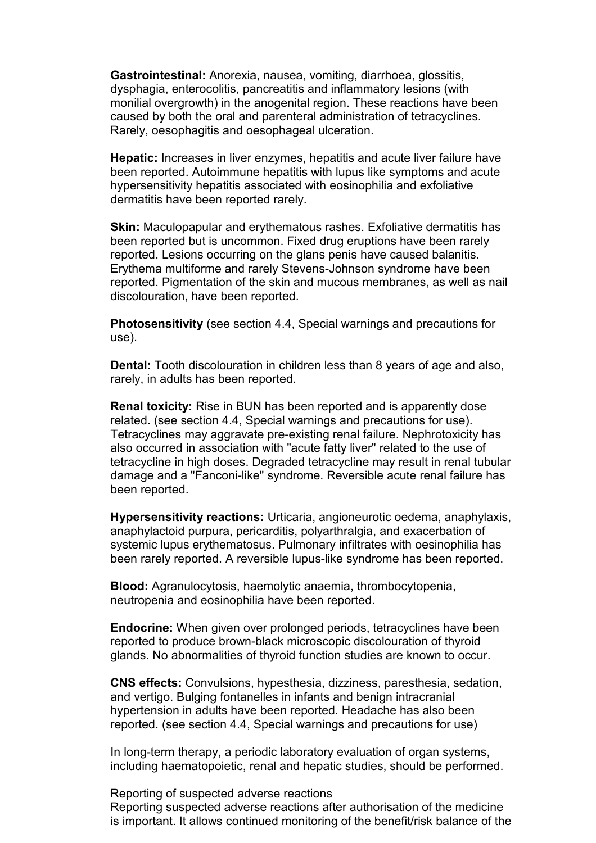**Gastrointestinal:** Anorexia, nausea, vomiting, diarrhoea, glossitis, dysphagia, enterocolitis, pancreatitis and inflammatory lesions (with monilial overgrowth) in the anogenital region. These reactions have been caused by both the oral and parenteral administration of tetracyclines. Rarely, oesophagitis and oesophageal ulceration.

**Hepatic:** Increases in liver enzymes, hepatitis and acute liver failure have been reported. Autoimmune hepatitis with lupus like symptoms and acute hypersensitivity hepatitis associated with eosinophilia and exfoliative dermatitis have been reported rarely.

**Skin:** Maculopapular and erythematous rashes. Exfoliative dermatitis has been reported but is uncommon. Fixed drug eruptions have been rarely reported. Lesions occurring on the glans penis have caused balanitis. Erythema multiforme and rarely Stevens-Johnson syndrome have been reported. Pigmentation of the skin and mucous membranes, as well as nail discolouration, have been reported.

**Photosensitivity** (see section 4.4, Special warnings and precautions for use).

**Dental:** Tooth discolouration in children less than 8 years of age and also, rarely, in adults has been reported.

**Renal toxicity:** Rise in BUN has been reported and is apparently dose related. (see section 4.4, Special warnings and precautions for use). Tetracyclines may aggravate pre-existing renal failure. Nephrotoxicity has also occurred in association with "acute fatty liver" related to the use of tetracycline in high doses. Degraded tetracycline may result in renal tubular damage and a "Fanconi-like" syndrome. Reversible acute renal failure has been reported.

**Hypersensitivity reactions:** Urticaria, angioneurotic oedema, anaphylaxis, anaphylactoid purpura, pericarditis, polyarthralgia, and exacerbation of systemic lupus erythematosus. Pulmonary infiltrates with oesinophilia has been rarely reported. A reversible lupus-like syndrome has been reported.

**Blood:** Agranulocytosis, haemolytic anaemia, thrombocytopenia, neutropenia and eosinophilia have been reported.

**Endocrine:** When given over prolonged periods, tetracyclines have been reported to produce brown-black microscopic discolouration of thyroid glands. No abnormalities of thyroid function studies are known to occur.

**CNS effects:** Convulsions, hypesthesia, dizziness, paresthesia, sedation, and vertigo. Bulging fontanelles in infants and benign intracranial hypertension in adults have been reported. Headache has also been reported. (see section 4.4, Special warnings and precautions for use)

In long-term therapy, a periodic laboratory evaluation of organ systems, including haematopoietic, renal and hepatic studies, should be performed.

#### Reporting of suspected adverse reactions

Reporting suspected adverse reactions after authorisation of the medicine is important. It allows continued monitoring of the benefit/risk balance of the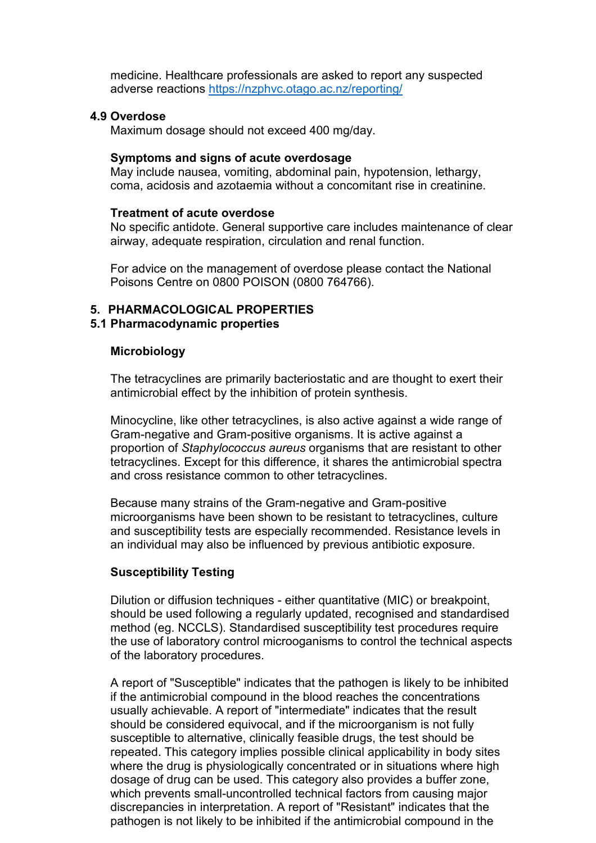medicine. Healthcare professionals are asked to report any suspected adverse reactions<https://nzphvc.otago.ac.nz/reporting/>

#### **4.9 Overdose**

Maximum dosage should not exceed 400 mg/day.

## **Symptoms and signs of acute overdosage**

May include nausea, vomiting, abdominal pain, hypotension, lethargy, coma, acidosis and azotaemia without a concomitant rise in creatinine.

### **Treatment of acute overdose**

No specific antidote. General supportive care includes maintenance of clear airway, adequate respiration, circulation and renal function.

For advice on the management of overdose please contact the National Poisons Centre on 0800 POISON (0800 764766).

## **5. PHARMACOLOGICAL PROPERTIES**

## **5.1 Pharmacodynamic properties**

#### **Microbiology**

The tetracyclines are primarily bacteriostatic and are thought to exert their antimicrobial effect by the inhibition of protein synthesis.

Minocycline, like other tetracyclines, is also active against a wide range of Gram-negative and Gram-positive organisms. It is active against a proportion of *Staphylococcus aureus* organisms that are resistant to other tetracyclines. Except for this difference, it shares the antimicrobial spectra and cross resistance common to other tetracyclines.

Because many strains of the Gram-negative and Gram-positive microorganisms have been shown to be resistant to tetracyclines, culture and susceptibility tests are especially recommended. Resistance levels in an individual may also be influenced by previous antibiotic exposure.

## **Susceptibility Testing**

Dilution or diffusion techniques - either quantitative (MIC) or breakpoint, should be used following a regularly updated, recognised and standardised method (eg. NCCLS). Standardised susceptibility test procedures require the use of laboratory control microoganisms to control the technical aspects of the laboratory procedures.

A report of "Susceptible" indicates that the pathogen is likely to be inhibited if the antimicrobial compound in the blood reaches the concentrations usually achievable. A report of "intermediate" indicates that the result should be considered equivocal, and if the microorganism is not fully susceptible to alternative, clinically feasible drugs, the test should be repeated. This category implies possible clinical applicability in body sites where the drug is physiologically concentrated or in situations where high dosage of drug can be used. This category also provides a buffer zone, which prevents small-uncontrolled technical factors from causing major discrepancies in interpretation. A report of "Resistant" indicates that the pathogen is not likely to be inhibited if the antimicrobial compound in the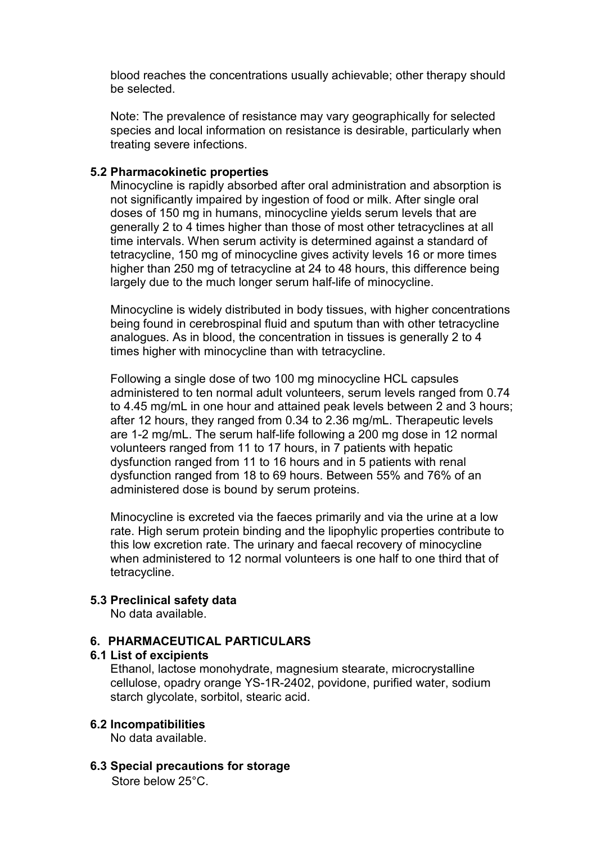blood reaches the concentrations usually achievable; other therapy should be selected.

Note: The prevalence of resistance may vary geographically for selected species and local information on resistance is desirable, particularly when treating severe infections.

## **5.2 Pharmacokinetic properties**

Minocycline is rapidly absorbed after oral administration and absorption is not significantly impaired by ingestion of food or milk. After single oral doses of 150 mg in humans, minocycline yields serum levels that are generally 2 to 4 times higher than those of most other tetracyclines at all time intervals. When serum activity is determined against a standard of tetracycline, 150 mg of minocycline gives activity levels 16 or more times higher than 250 mg of tetracycline at 24 to 48 hours, this difference being largely due to the much longer serum half-life of minocycline.

Minocycline is widely distributed in body tissues, with higher concentrations being found in cerebrospinal fluid and sputum than with other tetracycline analogues. As in blood, the concentration in tissues is generally 2 to 4 times higher with minocycline than with tetracycline.

Following a single dose of two 100 mg minocycline HCL capsules administered to ten normal adult volunteers, serum levels ranged from 0.74 to 4.45 mg/mL in one hour and attained peak levels between 2 and 3 hours; after 12 hours, they ranged from 0.34 to 2.36 mg/mL. Therapeutic levels are 1-2 mg/mL. The serum half-life following a 200 mg dose in 12 normal volunteers ranged from 11 to 17 hours, in 7 patients with hepatic dysfunction ranged from 11 to 16 hours and in 5 patients with renal dysfunction ranged from 18 to 69 hours. Between 55% and 76% of an administered dose is bound by serum proteins.

Minocycline is excreted via the faeces primarily and via the urine at a low rate. High serum protein binding and the lipophylic properties contribute to this low excretion rate. The urinary and faecal recovery of minocycline when administered to 12 normal volunteers is one half to one third that of tetracycline.

## **5.3 Preclinical safety data**

No data available.

## **6. PHARMACEUTICAL PARTICULARS**

#### **6.1 List of excipients**

Ethanol, lactose monohydrate, magnesium stearate, microcrystalline cellulose, opadry orange YS-1R-2402, povidone, purified water, sodium starch glycolate, sorbitol, stearic acid.

## **6.2 Incompatibilities**

No data available.

**6.3 Special precautions for storage** Store below 25°C.